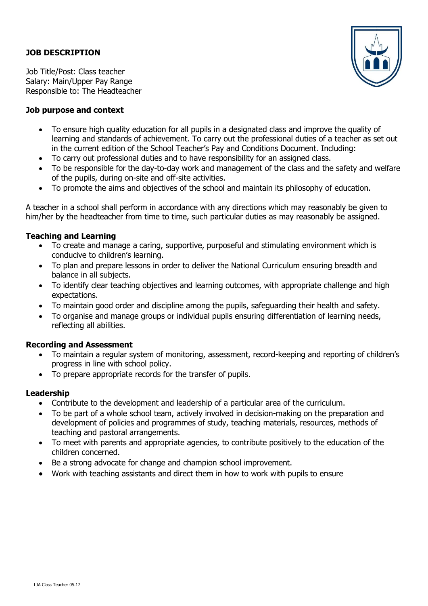# **JOB DESCRIPTION**



Job Title/Post: Class teacher Salary: Main/Upper Pay Range Responsible to: The Headteacher

## **Job purpose and context**

- To ensure high quality education for all pupils in a designated class and improve the quality of learning and standards of achievement. To carry out the professional duties of a teacher as set out in the current edition of the School Teacher's Pay and Conditions Document. Including:
- To carry out professional duties and to have responsibility for an assigned class.
- To be responsible for the day-to-day work and management of the class and the safety and welfare of the pupils, during on-site and off-site activities.
- To promote the aims and objectives of the school and maintain its philosophy of education.

A teacher in a school shall perform in accordance with any directions which may reasonably be given to him/her by the headteacher from time to time, such particular duties as may reasonably be assigned.

## **Teaching and Learning**

- To create and manage a caring, supportive, purposeful and stimulating environment which is conducive to children's learning.
- To plan and prepare lessons in order to deliver the National Curriculum ensuring breadth and balance in all subjects.
- To identify clear teaching objectives and learning outcomes, with appropriate challenge and high expectations.
- To maintain good order and discipline among the pupils, safeguarding their health and safety.
- To organise and manage groups or individual pupils ensuring differentiation of learning needs, reflecting all abilities.

#### **Recording and Assessment**

- To maintain a regular system of monitoring, assessment, record-keeping and reporting of children's progress in line with school policy.
- To prepare appropriate records for the transfer of pupils.

#### **Leadership**

- Contribute to the development and leadership of a particular area of the curriculum.
- To be part of a whole school team, actively involved in decision-making on the preparation and development of policies and programmes of study, teaching materials, resources, methods of teaching and pastoral arrangements.
- To meet with parents and appropriate agencies, to contribute positively to the education of the children concerned.
- Be a strong advocate for change and champion school improvement.
- Work with teaching assistants and direct them in how to work with pupils to ensure